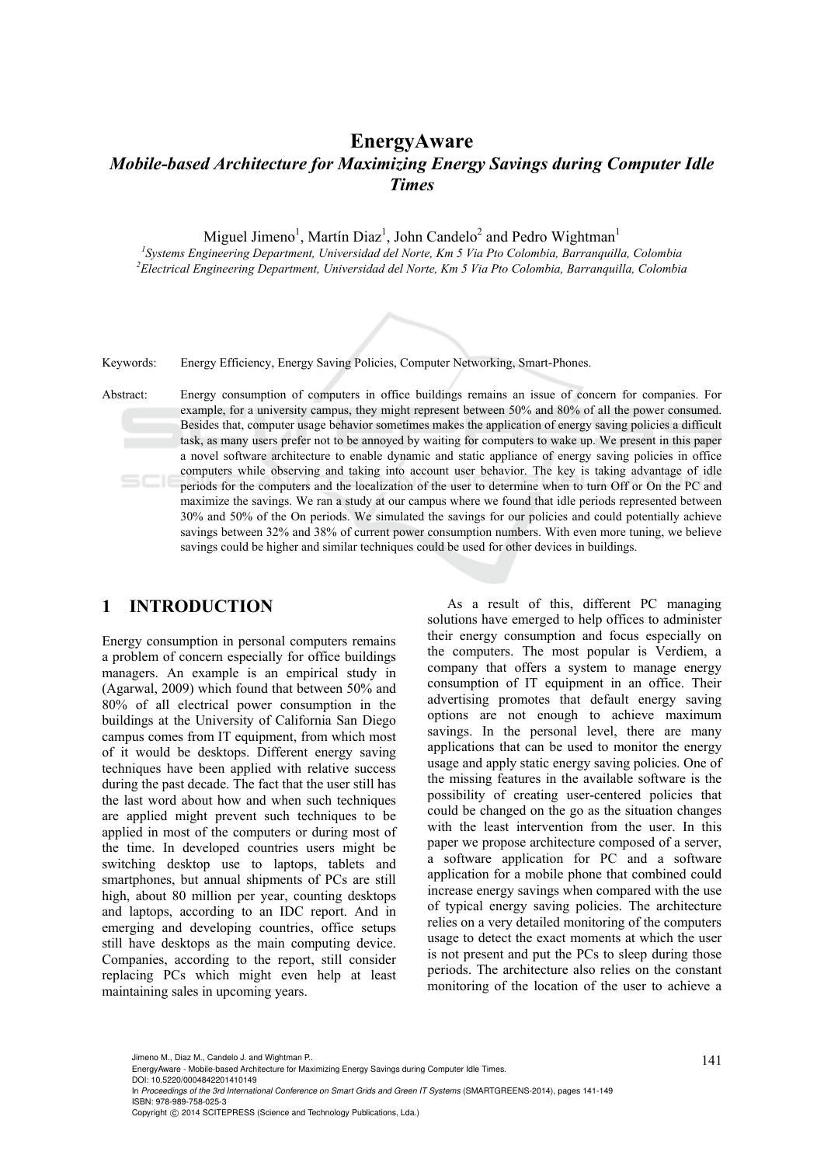# **EnergyAware**  *Mobile-based Architecture for Maximizing Energy Savings during Computer Idle Times*

Miguel Jimeno<sup>1</sup>, Martín Diaz<sup>1</sup>, John Candelo<sup>2</sup> and Pedro Wightman<sup>1</sup>

<sup>1</sup> Systems Engineering Department, Universidad del Norte, Km 5 Via Pto Colombia, Barranquilla, Colombia <sup>2</sup> Electrical Engineering Department, Universidad del Norte, Km 5 Via Pto Colombia, Barranquilla, Colombia *Electrical Engineering Department, Universidad del Norte, Km 5 Via Pto Colombia, Barranquilla, Colombia* 



Keywords: Energy Efficiency, Energy Saving Policies, Computer Networking, Smart-Phones.

Abstract: Energy consumption of computers in office buildings remains an issue of concern for companies. For example, for a university campus, they might represent between 50% and 80% of all the power consumed. Besides that, computer usage behavior sometimes makes the application of energy saving policies a difficult task, as many users prefer not to be annoyed by waiting for computers to wake up. We present in this paper a novel software architecture to enable dynamic and static appliance of energy saving policies in office computers while observing and taking into account user behavior. The key is taking advantage of idle periods for the computers and the localization of the user to determine when to turn Off or On the PC and maximize the savings. We ran a study at our campus where we found that idle periods represented between 30% and 50% of the On periods. We simulated the savings for our policies and could potentially achieve savings between 32% and 38% of current power consumption numbers. With even more tuning, we believe savings could be higher and similar techniques could be used for other devices in buildings.

## **1 INTRODUCTION**

Energy consumption in personal computers remains a problem of concern especially for office buildings managers. An example is an empirical study in (Agarwal, 2009) which found that between 50% and 80% of all electrical power consumption in the buildings at the University of California San Diego campus comes from IT equipment, from which most of it would be desktops. Different energy saving techniques have been applied with relative success during the past decade. The fact that the user still has the last word about how and when such techniques are applied might prevent such techniques to be applied in most of the computers or during most of the time. In developed countries users might be switching desktop use to laptops, tablets and smartphones, but annual shipments of PCs are still high, about 80 million per year, counting desktops and laptops, according to an IDC report. And in emerging and developing countries, office setups still have desktops as the main computing device. Companies, according to the report, still consider replacing PCs which might even help at least maintaining sales in upcoming years.

As a result of this, different PC managing solutions have emerged to help offices to administer their energy consumption and focus especially on the computers. The most popular is Verdiem, a company that offers a system to manage energy consumption of IT equipment in an office. Their advertising promotes that default energy saving options are not enough to achieve maximum savings. In the personal level, there are many applications that can be used to monitor the energy usage and apply static energy saving policies. One of the missing features in the available software is the possibility of creating user-centered policies that could be changed on the go as the situation changes with the least intervention from the user. In this paper we propose architecture composed of a server, a software application for PC and a software application for a mobile phone that combined could increase energy savings when compared with the use of typical energy saving policies. The architecture relies on a very detailed monitoring of the computers usage to detect the exact moments at which the user is not present and put the PCs to sleep during those periods. The architecture also relies on the constant monitoring of the location of the user to achieve a

DOI: 10.5220/0004842201410149

In *Proceedings of the 3rd International Conference on Smart Grids and Green IT Systems* (SMARTGREENS-2014), pages 141-149 ISBN: 978-989-758-025-3

<sup>141</sup> Jimeno M., Diaz M., Candelo J. and Wightman P.. EnergyAware - Mobile-based Architecture for Maximizing Energy Savings during Computer Idle Times.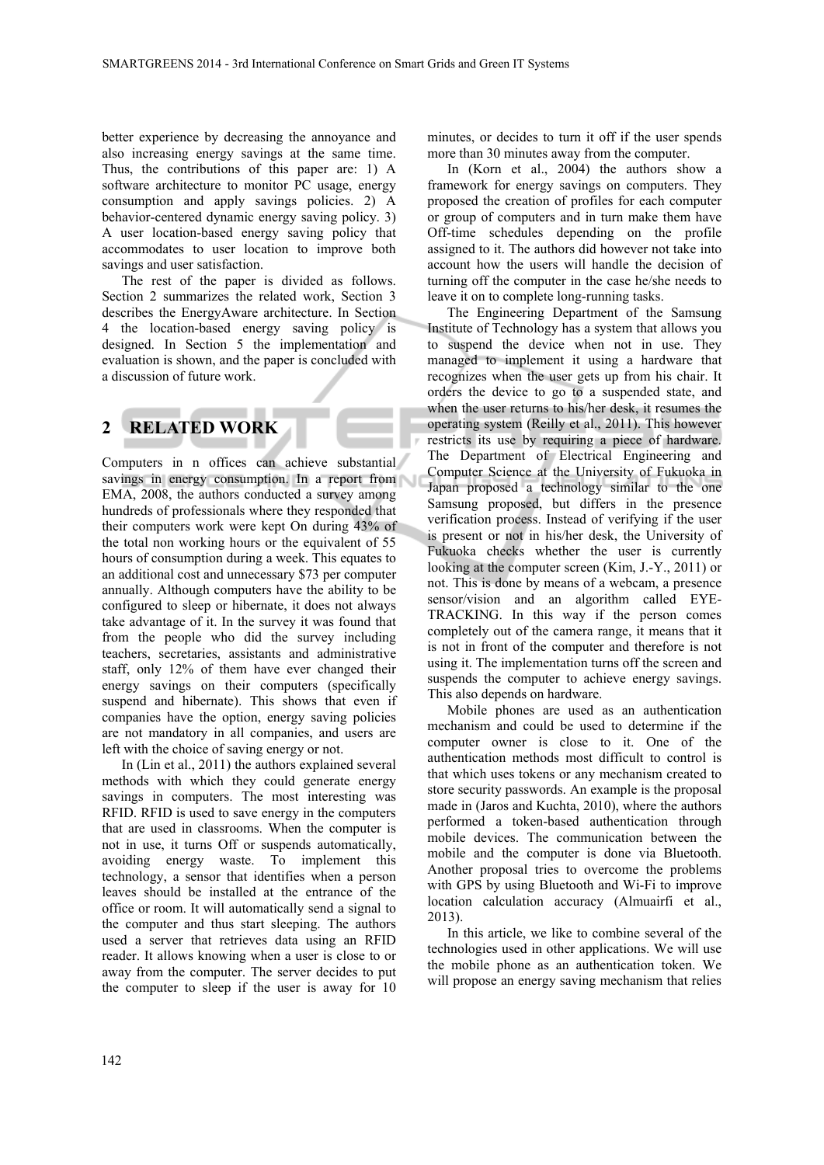better experience by decreasing the annoyance and also increasing energy savings at the same time. Thus, the contributions of this paper are: 1) A software architecture to monitor PC usage, energy consumption and apply savings policies. 2) A behavior-centered dynamic energy saving policy. 3) A user location-based energy saving policy that accommodates to user location to improve both savings and user satisfaction.

The rest of the paper is divided as follows. Section 2 summarizes the related work, Section 3 describes the EnergyAware architecture. In Section 4 the location-based energy saving policy is designed. In Section 5 the implementation and evaluation is shown, and the paper is concluded with a discussion of future work.

# **2 RELATED WORK**

Computers in n offices can achieve substantial savings in energy consumption. In a report from EMA, 2008, the authors conducted a survey among hundreds of professionals where they responded that their computers work were kept On during 43% of the total non working hours or the equivalent of 55 hours of consumption during a week. This equates to an additional cost and unnecessary \$73 per computer annually. Although computers have the ability to be configured to sleep or hibernate, it does not always take advantage of it. In the survey it was found that from the people who did the survey including teachers, secretaries, assistants and administrative staff, only 12% of them have ever changed their energy savings on their computers (specifically suspend and hibernate). This shows that even if companies have the option, energy saving policies are not mandatory in all companies, and users are left with the choice of saving energy or not.

In (Lin et al., 2011) the authors explained several methods with which they could generate energy savings in computers. The most interesting was RFID. RFID is used to save energy in the computers that are used in classrooms. When the computer is not in use, it turns Off or suspends automatically, avoiding energy waste. To implement this technology, a sensor that identifies when a person leaves should be installed at the entrance of the office or room. It will automatically send a signal to the computer and thus start sleeping. The authors used a server that retrieves data using an RFID reader. It allows knowing when a user is close to or away from the computer. The server decides to put the computer to sleep if the user is away for 10

minutes, or decides to turn it off if the user spends more than 30 minutes away from the computer.

In (Korn et al., 2004) the authors show a framework for energy savings on computers. They proposed the creation of profiles for each computer or group of computers and in turn make them have Off-time schedules depending on the profile assigned to it. The authors did however not take into account how the users will handle the decision of turning off the computer in the case he/she needs to leave it on to complete long-running tasks.

The Engineering Department of the Samsung Institute of Technology has a system that allows you to suspend the device when not in use. They managed to implement it using a hardware that recognizes when the user gets up from his chair. It orders the device to go to a suspended state, and when the user returns to his/her desk, it resumes the operating system (Reilly et al., 2011). This however restricts its use by requiring a piece of hardware. The Department of Electrical Engineering and Computer Science at the University of Fukuoka in Japan proposed a technology similar to the one Samsung proposed, but differs in the presence verification process. Instead of verifying if the user is present or not in his/her desk, the University of Fukuoka checks whether the user is currently looking at the computer screen (Kim, J.-Y., 2011) or not. This is done by means of a webcam, a presence sensor/vision and an algorithm called EYE-TRACKING. In this way if the person comes completely out of the camera range, it means that it is not in front of the computer and therefore is not using it. The implementation turns off the screen and suspends the computer to achieve energy savings. This also depends on hardware.

Mobile phones are used as an authentication mechanism and could be used to determine if the computer owner is close to it. One of the authentication methods most difficult to control is that which uses tokens or any mechanism created to store security passwords. An example is the proposal made in (Jaros and Kuchta, 2010), where the authors performed a token-based authentication through mobile devices. The communication between the mobile and the computer is done via Bluetooth. Another proposal tries to overcome the problems with GPS by using Bluetooth and Wi-Fi to improve location calculation accuracy (Almuairfi et al., 2013).

In this article, we like to combine several of the technologies used in other applications. We will use the mobile phone as an authentication token. We will propose an energy saving mechanism that relies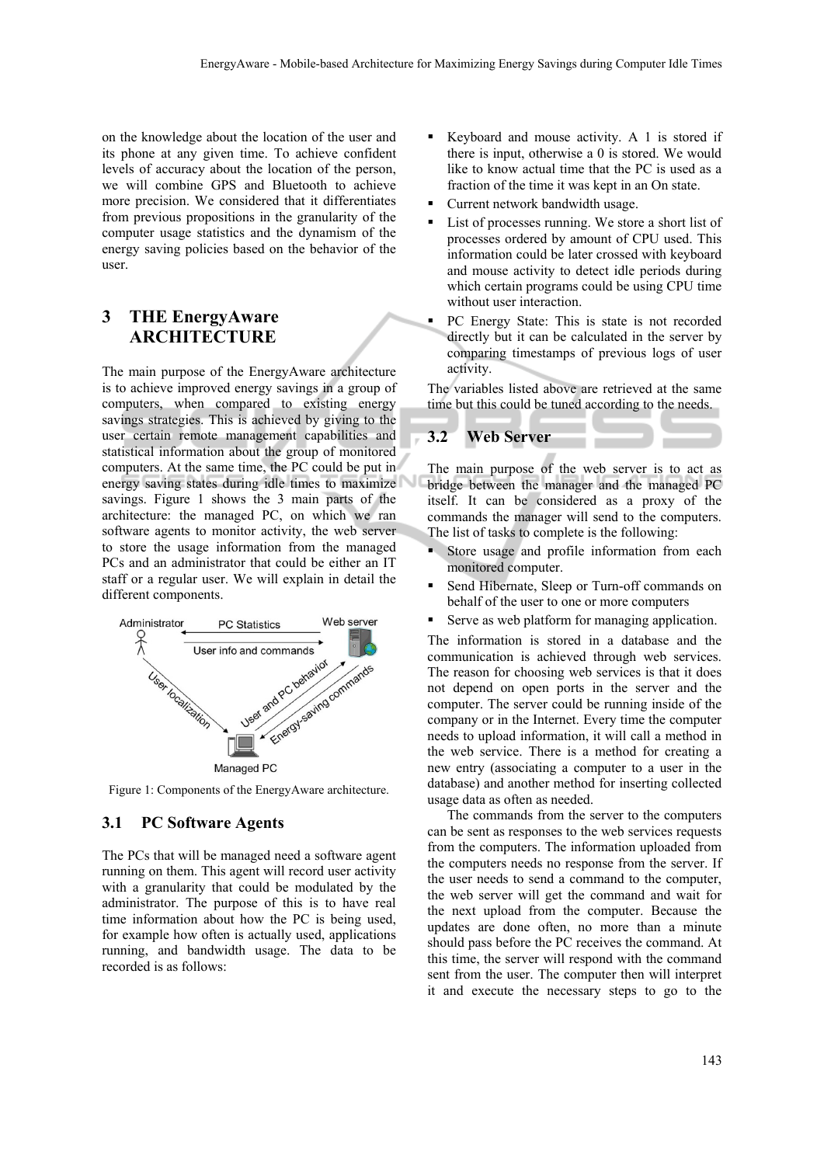on the knowledge about the location of the user and its phone at any given time. To achieve confident levels of accuracy about the location of the person, we will combine GPS and Bluetooth to achieve more precision. We considered that it differentiates from previous propositions in the granularity of the computer usage statistics and the dynamism of the energy saving policies based on the behavior of the user.

# **3 THE EnergyAware ARCHITECTURE**

The main purpose of the EnergyAware architecture is to achieve improved energy savings in a group of computers, when compared to existing energy savings strategies. This is achieved by giving to the user certain remote management capabilities and statistical information about the group of monitored computers. At the same time, the PC could be put in energy saving states during idle times to maximize savings. Figure 1 shows the 3 main parts of the architecture: the managed PC, on which we ran software agents to monitor activity, the web server to store the usage information from the managed PCs and an administrator that could be either an IT staff or a regular user. We will explain in detail the different components.



Figure 1: Components of the EnergyAware architecture.

### **3.1 PC Software Agents**

The PCs that will be managed need a software agent running on them. This agent will record user activity with a granularity that could be modulated by the administrator. The purpose of this is to have real time information about how the PC is being used, for example how often is actually used, applications running, and bandwidth usage. The data to be recorded is as follows:

- Keyboard and mouse activity. A 1 is stored if there is input, otherwise a 0 is stored. We would like to know actual time that the PC is used as a fraction of the time it was kept in an On state.
- Current network bandwidth usage.
- List of processes running. We store a short list of processes ordered by amount of CPU used. This information could be later crossed with keyboard and mouse activity to detect idle periods during which certain programs could be using CPU time without user interaction.
- PC Energy State: This is state is not recorded directly but it can be calculated in the server by comparing timestamps of previous logs of user activity.

The variables listed above are retrieved at the same time but this could be tuned according to the needs.

#### **3.2 Web Server**

The main purpose of the web server is to act as bridge between the manager and the managed PC itself. It can be considered as a proxy of the commands the manager will send to the computers. The list of tasks to complete is the following:

- Store usage and profile information from each monitored computer.
- Send Hibernate, Sleep or Turn-off commands on behalf of the user to one or more computers
- Serve as web platform for managing application.

The information is stored in a database and the communication is achieved through web services. The reason for choosing web services is that it does not depend on open ports in the server and the computer. The server could be running inside of the company or in the Internet. Every time the computer needs to upload information, it will call a method in the web service. There is a method for creating a new entry (associating a computer to a user in the database) and another method for inserting collected usage data as often as needed.

The commands from the server to the computers can be sent as responses to the web services requests from the computers. The information uploaded from the computers needs no response from the server. If the user needs to send a command to the computer, the web server will get the command and wait for the next upload from the computer. Because the updates are done often, no more than a minute should pass before the PC receives the command. At this time, the server will respond with the command sent from the user. The computer then will interpret it and execute the necessary steps to go to the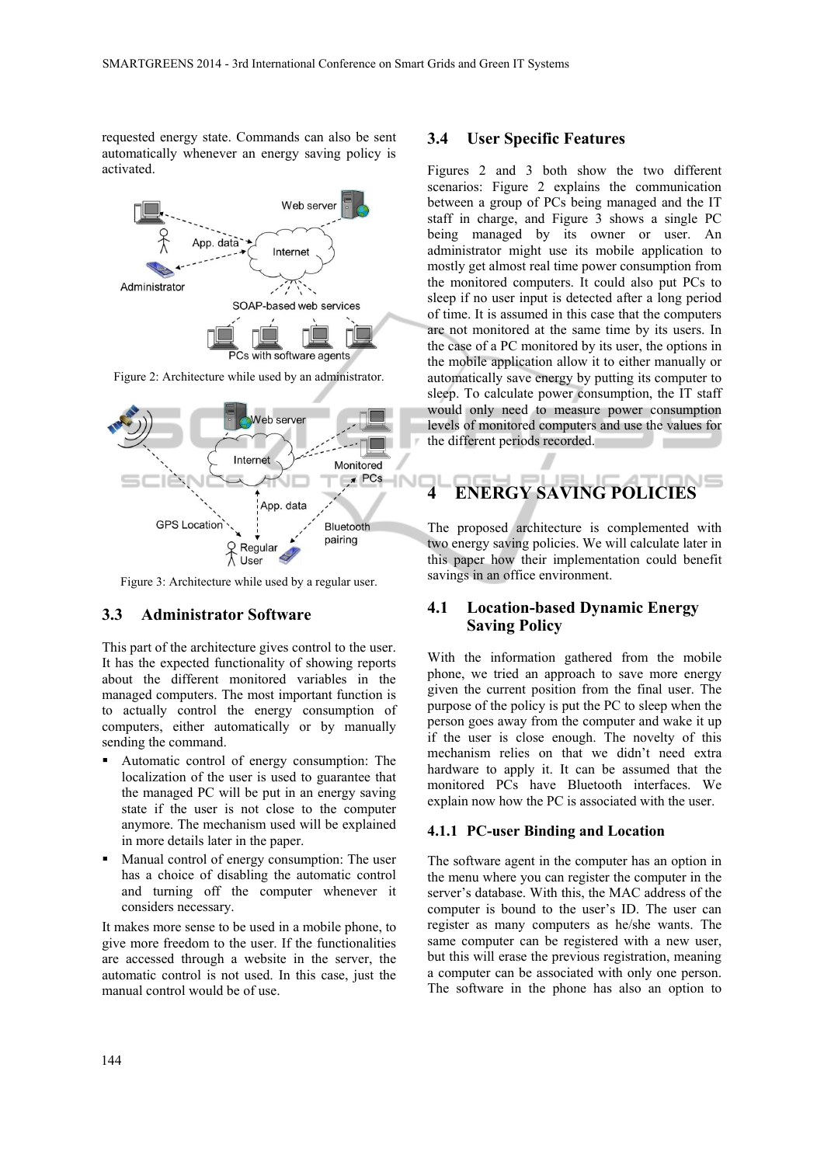requested energy state. Commands can also be sent automatically whenever an energy saving policy is activated.



Figure 2: Architecture while used by an administrator.



Figure 3: Architecture while used by a regular user.

#### **3.3 Administrator Software**

This part of the architecture gives control to the user. It has the expected functionality of showing reports about the different monitored variables in the managed computers. The most important function is to actually control the energy consumption of computers, either automatically or by manually sending the command.

- Automatic control of energy consumption: The localization of the user is used to guarantee that the managed PC will be put in an energy saving state if the user is not close to the computer anymore. The mechanism used will be explained in more details later in the paper.
- Manual control of energy consumption: The user has a choice of disabling the automatic control and turning off the computer whenever it considers necessary.

It makes more sense to be used in a mobile phone, to give more freedom to the user. If the functionalities are accessed through a website in the server, the automatic control is not used. In this case, just the manual control would be of use.

#### **3.4 User Specific Features**

Figures 2 and 3 both show the two different scenarios: Figure 2 explains the communication between a group of PCs being managed and the IT staff in charge, and Figure 3 shows a single PC being managed by its owner or user. An administrator might use its mobile application to mostly get almost real time power consumption from the monitored computers. It could also put PCs to sleep if no user input is detected after a long period of time. It is assumed in this case that the computers are not monitored at the same time by its users. In the case of a PC monitored by its user, the options in the mobile application allow it to either manually or automatically save energy by putting its computer to sleep. To calculate power consumption, the IT staff would only need to measure power consumption levels of monitored computers and use the values for the different periods recorded.

# **4 ENERGY SAVING POLICIES**

The proposed architecture is complemented with two energy saving policies. We will calculate later in this paper how their implementation could benefit savings in an office environment.

### **4.1 Location-based Dynamic Energy Saving Policy**

With the information gathered from the mobile phone, we tried an approach to save more energy given the current position from the final user. The purpose of the policy is put the PC to sleep when the person goes away from the computer and wake it up if the user is close enough. The novelty of this mechanism relies on that we didn't need extra hardware to apply it. It can be assumed that the monitored PCs have Bluetooth interfaces. We explain now how the PC is associated with the user.

#### **4.1.1 PC-user Binding and Location**

The software agent in the computer has an option in the menu where you can register the computer in the server's database. With this, the MAC address of the computer is bound to the user's ID. The user can register as many computers as he/she wants. The same computer can be registered with a new user, but this will erase the previous registration, meaning a computer can be associated with only one person. The software in the phone has also an option to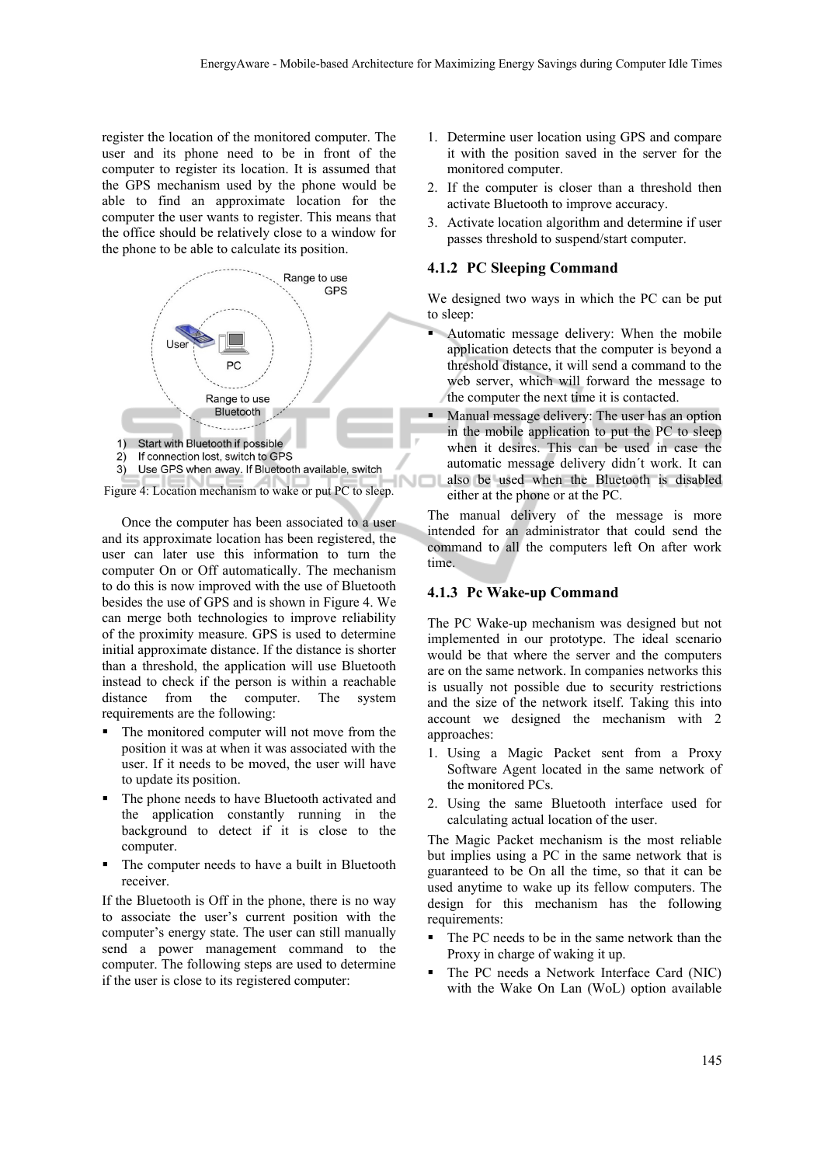register the location of the monitored computer. The user and its phone need to be in front of the computer to register its location. It is assumed that the GPS mechanism used by the phone would be able to find an approximate location for the computer the user wants to register. This means that the office should be relatively close to a window for the phone to be able to calculate its position.



Once the computer has been associated to a user and its approximate location has been registered, the user can later use this information to turn the computer On or Off automatically. The mechanism to do this is now improved with the use of Bluetooth besides the use of GPS and is shown in Figure 4. We can merge both technologies to improve reliability of the proximity measure. GPS is used to determine initial approximate distance. If the distance is shorter than a threshold, the application will use Bluetooth instead to check if the person is within a reachable distance from the computer. The system requirements are the following:

- The monitored computer will not move from the position it was at when it was associated with the user. If it needs to be moved, the user will have to update its position.
- The phone needs to have Bluetooth activated and the application constantly running in the background to detect if it is close to the computer.
- The computer needs to have a built in Bluetooth receiver.

If the Bluetooth is Off in the phone, there is no way to associate the user's current position with the computer's energy state. The user can still manually send a power management command to the computer. The following steps are used to determine if the user is close to its registered computer:

- 1. Determine user location using GPS and compare it with the position saved in the server for the monitored computer.
- 2. If the computer is closer than a threshold then activate Bluetooth to improve accuracy.
- 3. Activate location algorithm and determine if user passes threshold to suspend/start computer.

#### **4.1.2 PC Sleeping Command**

We designed two ways in which the PC can be put to sleep:

- Automatic message delivery: When the mobile application detects that the computer is beyond a threshold distance, it will send a command to the web server, which will forward the message to the computer the next time it is contacted.
- Manual message delivery: The user has an option in the mobile application to put the PC to sleep when it desires. This can be used in case the automatic message delivery didn´t work. It can also be used when the Bluetooth is disabled either at the phone or at the PC.

The manual delivery of the message is more intended for an administrator that could send the command to all the computers left On after work time.

#### **4.1.3 Pc Wake-up Command**

The PC Wake-up mechanism was designed but not implemented in our prototype. The ideal scenario would be that where the server and the computers are on the same network. In companies networks this is usually not possible due to security restrictions and the size of the network itself. Taking this into account we designed the mechanism with 2 approaches:

- 1. Using a Magic Packet sent from a Proxy Software Agent located in the same network of the monitored PCs.
- 2. Using the same Bluetooth interface used for calculating actual location of the user.

The Magic Packet mechanism is the most reliable but implies using a PC in the same network that is guaranteed to be On all the time, so that it can be used anytime to wake up its fellow computers. The design for this mechanism has the following requirements:

- The PC needs to be in the same network than the Proxy in charge of waking it up.
- The PC needs a Network Interface Card (NIC) with the Wake On Lan (WoL) option available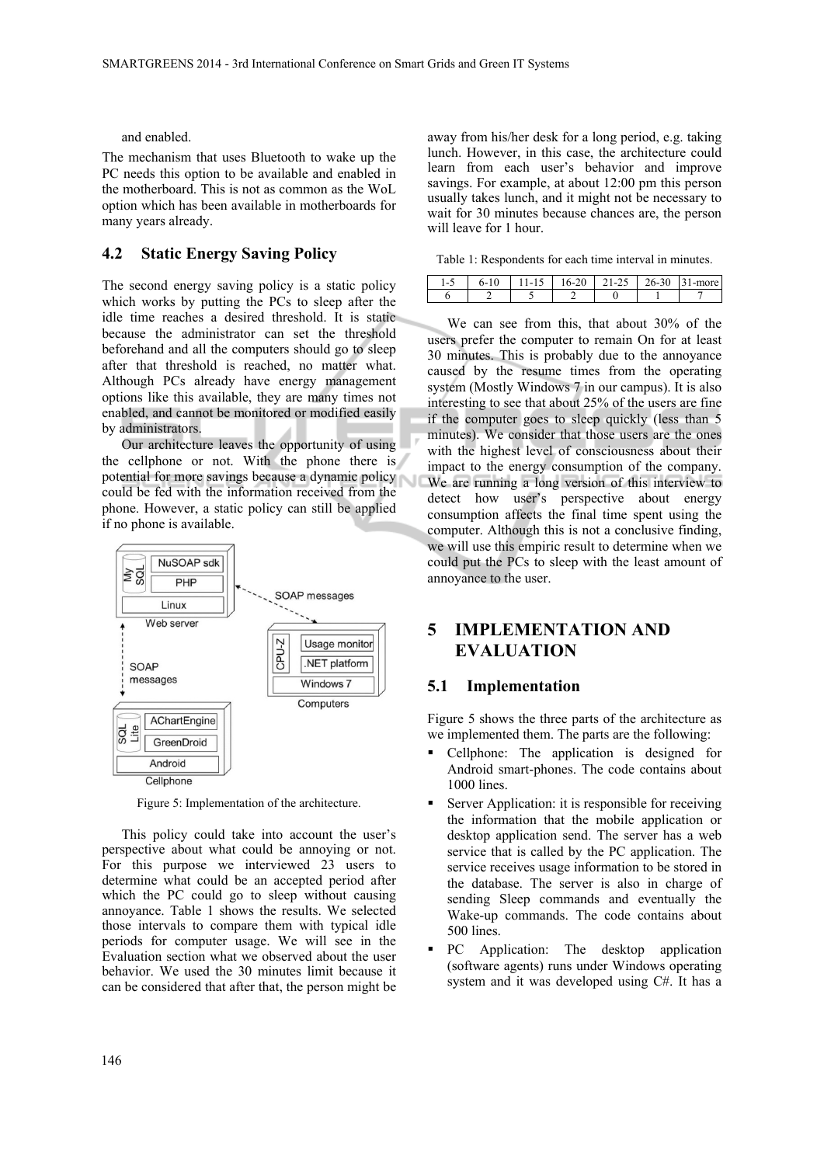$\overline{\phantom{a}}$ 

and enabled.

The mechanism that uses Bluetooth to wake up the PC needs this option to be available and enabled in the motherboard. This is not as common as the WoL option which has been available in motherboards for many years already.

## **4.2 Static Energy Saving Policy**

The second energy saving policy is a static policy which works by putting the PCs to sleep after the idle time reaches a desired threshold. It is static because the administrator can set the threshold beforehand and all the computers should go to sleep after that threshold is reached, no matter what. Although PCs already have energy management options like this available, they are many times not enabled, and cannot be monitored or modified easily by administrators.

Our architecture leaves the opportunity of using the cellphone or not. With the phone there is potential for more savings because a dynamic policy could be fed with the information received from the phone. However, a static policy can still be applied if no phone is available.



Figure 5: Implementation of the architecture.

This policy could take into account the user's perspective about what could be annoying or not. For this purpose we interviewed 23 users to determine what could be an accepted period after which the PC could go to sleep without causing annoyance. Table 1 shows the results. We selected those intervals to compare them with typical idle periods for computer usage. We will see in the Evaluation section what we observed about the user behavior. We used the 30 minutes limit because it can be considered that after that, the person might be away from his/her desk for a long period, e.g. taking lunch. However, in this case, the architecture could learn from each user's behavior and improve savings. For example, at about 12:00 pm this person usually takes lunch, and it might not be necessary to wait for 30 minutes because chances are, the person will leave for 1 hour.

Table 1: Respondents for each time interval in minutes.

| . . |  |  | $-$ |
|-----|--|--|-----|
|     |  |  |     |

We can see from this, that about 30% of the users prefer the computer to remain On for at least 30 minutes. This is probably due to the annoyance caused by the resume times from the operating system (Mostly Windows 7 in our campus). It is also interesting to see that about 25% of the users are fine if the computer goes to sleep quickly (less than 5 minutes). We consider that those users are the ones with the highest level of consciousness about their impact to the energy consumption of the company. We are running a long version of this interview to detect how user's perspective about energy consumption affects the final time spent using the computer. Although this is not a conclusive finding, we will use this empiric result to determine when we could put the PCs to sleep with the least amount of annoyance to the user.

# **5 IMPLEMENTATION AND EVALUATION**

#### **5.1 Implementation**

Figure 5 shows the three parts of the architecture as we implemented them. The parts are the following:

- Cellphone: The application is designed for Android smart-phones. The code contains about 1000 lines.
- Server Application: it is responsible for receiving the information that the mobile application or desktop application send. The server has a web service that is called by the PC application. The service receives usage information to be stored in the database. The server is also in charge of sending Sleep commands and eventually the Wake-up commands. The code contains about 500 lines.
- PC Application: The desktop application (software agents) runs under Windows operating system and it was developed using C#. It has a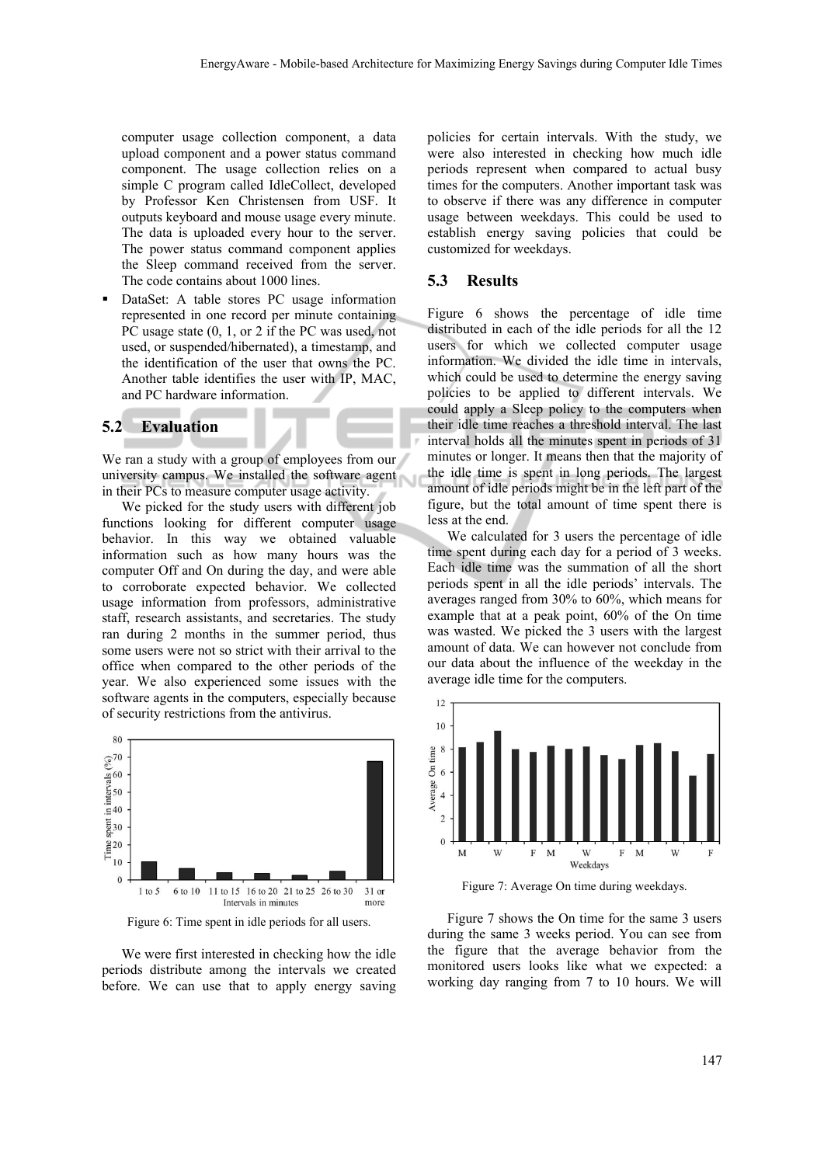computer usage collection component, a data upload component and a power status command component. The usage collection relies on a simple C program called IdleCollect, developed by Professor Ken Christensen from USF. It outputs keyboard and mouse usage every minute. The data is uploaded every hour to the server. The power status command component applies the Sleep command received from the server. The code contains about 1000 lines.

 DataSet: A table stores PC usage information represented in one record per minute containing PC usage state  $(0, 1, \text{or } 2 \text{ if the PC was used, not})$ used, or suspended/hibernated), a timestamp, and the identification of the user that owns the PC. Another table identifies the user with IP, MAC, and PC hardware information.

#### **5.2 Evaluation**

We ran a study with a group of employees from our university campus. We installed the software agent in their PCs to measure computer usage activity.

We picked for the study users with different job functions looking for different computer usage behavior. In this way we obtained valuable information such as how many hours was the computer Off and On during the day, and were able to corroborate expected behavior. We collected usage information from professors, administrative staff, research assistants, and secretaries. The study ran during 2 months in the summer period, thus some users were not so strict with their arrival to the office when compared to the other periods of the year. We also experienced some issues with the software agents in the computers, especially because of security restrictions from the antivirus.



Figure 6: Time spent in idle periods for all users.

We were first interested in checking how the idle periods distribute among the intervals we created before. We can use that to apply energy saving

policies for certain intervals. With the study, we were also interested in checking how much idle periods represent when compared to actual busy times for the computers. Another important task was to observe if there was any difference in computer usage between weekdays. This could be used to establish energy saving policies that could be customized for weekdays.

#### **5.3 Results**

Figure 6 shows the percentage of idle time distributed in each of the idle periods for all the 12 users for which we collected computer usage information. We divided the idle time in intervals, which could be used to determine the energy saving policies to be applied to different intervals. We could apply a Sleep policy to the computers when their idle time reaches a threshold interval. The last interval holds all the minutes spent in periods of 31 minutes or longer. It means then that the majority of the idle time is spent in long periods. The largest amount of idle periods might be in the left part of the figure, but the total amount of time spent there is less at the end.

We calculated for 3 users the percentage of idle time spent during each day for a period of 3 weeks. Each idle time was the summation of all the short periods spent in all the idle periods' intervals. The averages ranged from 30% to 60%, which means for example that at a peak point, 60% of the On time was wasted. We picked the 3 users with the largest amount of data. We can however not conclude from our data about the influence of the weekday in the average idle time for the computers.



Figure 7: Average On time during weekdays.

Figure 7 shows the On time for the same 3 users during the same 3 weeks period. You can see from the figure that the average behavior from the monitored users looks like what we expected: a working day ranging from 7 to 10 hours. We will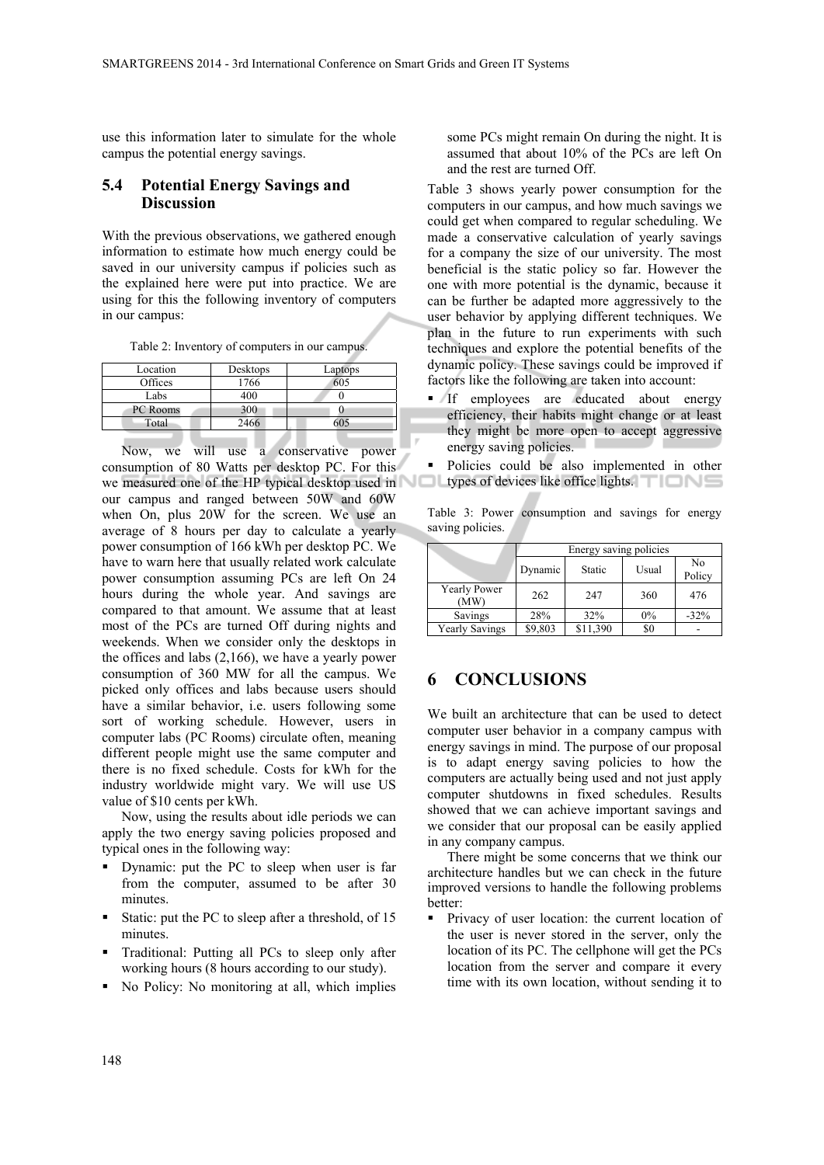use this information later to simulate for the whole campus the potential energy savings.

#### **5.4 Potential Energy Savings and Discussion**

With the previous observations, we gathered enough information to estimate how much energy could be saved in our university campus if policies such as the explained here were put into practice. We are using for this the following inventory of computers in our campus:

Table 2: Inventory of computers in our campus.

| Location | Desktops | Laptops |  |
|----------|----------|---------|--|
| Offices  | 1766     | 605     |  |
| Labs     | 400      |         |  |
| PC Rooms | 300      |         |  |
| Total    | 2466     |         |  |

Now, we will use a conservative power consumption of 80 Watts per desktop PC. For this we measured one of the HP typical desktop used in our campus and ranged between 50W and 60W when On, plus 20W for the screen. We use an average of 8 hours per day to calculate a yearly power consumption of 166 kWh per desktop PC. We have to warn here that usually related work calculate power consumption assuming PCs are left On 24 hours during the whole year. And savings are compared to that amount. We assume that at least most of the PCs are turned Off during nights and weekends. When we consider only the desktops in the offices and labs (2,166), we have a yearly power consumption of 360 MW for all the campus. We picked only offices and labs because users should have a similar behavior, i.e. users following some sort of working schedule. However, users in computer labs (PC Rooms) circulate often, meaning different people might use the same computer and there is no fixed schedule. Costs for kWh for the industry worldwide might vary. We will use US value of \$10 cents per kWh.

Now, using the results about idle periods we can apply the two energy saving policies proposed and typical ones in the following way:

- Dynamic: put the PC to sleep when user is far from the computer, assumed to be after 30 minutes.
- Static: put the PC to sleep after a threshold, of 15 minutes.
- Traditional: Putting all PCs to sleep only after working hours (8 hours according to our study).
- No Policy: No monitoring at all, which implies

some PCs might remain On during the night. It is assumed that about 10% of the PCs are left On and the rest are turned Off.

Table 3 shows yearly power consumption for the computers in our campus, and how much savings we could get when compared to regular scheduling. We made a conservative calculation of yearly savings for a company the size of our university. The most beneficial is the static policy so far. However the one with more potential is the dynamic, because it can be further be adapted more aggressively to the user behavior by applying different techniques. We plan in the future to run experiments with such techniques and explore the potential benefits of the dynamic policy. These savings could be improved if factors like the following are taken into account:

- If employees are educated about energy efficiency, their habits might change or at least they might be more open to accept aggressive energy saving policies.
- Policies could be also implemented in other Оl types of devices like office lights.

Table 3: Power consumption and savings for energy saving policies.

|                       | Energy saving policies |          |       |              |  |  |
|-----------------------|------------------------|----------|-------|--------------|--|--|
|                       | Dynamic                | Static   | Usual | No<br>Policy |  |  |
| Yearly Power<br>(MW)  | 262                    | 247      | 360   | 476          |  |  |
| Savings               | 28%                    | 32%      | $0\%$ | $-32%$       |  |  |
| <b>Yearly Savings</b> | \$9,803                | \$11,390 | \$0   |              |  |  |

## **6 CONCLUSIONS**

We built an architecture that can be used to detect computer user behavior in a company campus with energy savings in mind. The purpose of our proposal is to adapt energy saving policies to how the computers are actually being used and not just apply computer shutdowns in fixed schedules. Results showed that we can achieve important savings and we consider that our proposal can be easily applied in any company campus.

There might be some concerns that we think our architecture handles but we can check in the future improved versions to handle the following problems better:

**Privacy of user location: the current location of** the user is never stored in the server, only the location of its PC. The cellphone will get the PCs location from the server and compare it every time with its own location, without sending it to